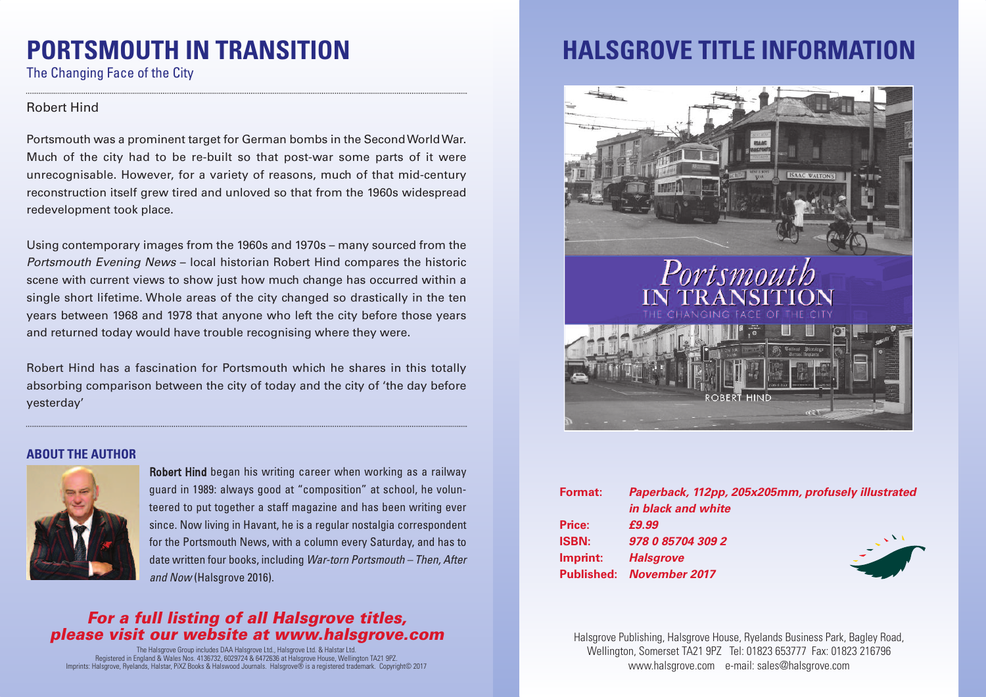# **PORTSMOUTH IN TRANSITION**

The Changing Face of the City

### Robert Hind

Portsmouth was a prominent target for German bombs in the SecondWorldWar. Much of the city had to be re-built so that post-war some parts of it were unrecognisable. However, for a variety of reasons, much of that mid-century reconstruction itself grew tired and unloved so that from the 1960s widespread redevelopment took place.

Using contemporary images from the 1960s and 1970s – many sourced from the *Portsmouth Evening News* – local historian Robert Hind compares the historic scene with current views to show just how much change has occurred within a single short lifetime. Whole areas of the city changed so drastically in the ten years between 1968 and 1978 that anyone who left the city before those years and returned today would have trouble recognising where they were.

Robert Hind has a fascination for Portsmouth which he shares in this totally absorbing comparison between the city of today and the city of 'the day before yesterday'

### **ABOUT THE AUTHOR**



Robert Hind began his writing career when working as a railway guard in 1989: always good at "composition" at school, he volunteered to put together a staff magazine and has been writing ever since. Now living in Havant, he is a regular nostalgia correspondent for the Portsmouth News, with a column every Saturday, and has to date written four books, including *War-torn Portsmouth – Then, After and Now* (Halsgrove 2016).

### *For a full listing of all Halsgrove titles, please visit our website at www.halsgrove.com*

The Halsgrove Group includes DAA Halsgrove Ltd., Halsgrove Ltd. & Halstar Ltd. Registered in England & Wales Nos. 4136732, 6029724 & 6472636 at Halsgrove House, Wellington TA21 9PZ. Imprints: Halsgrove, Ryelands, Halstar, PiXZ Books & Halswood Journals. Halsgrove® is a registered trademark. Copyright© 2017

### **HALSGROVE TITLE INFORMATION**



| Paperback, 112pp, 205x205mm, profusely illustrated |  |
|----------------------------------------------------|--|
| in black and white                                 |  |
| £9.99                                              |  |
| 978 0 85704 309 2                                  |  |
| <b>Halsgrove</b>                                   |  |
| <b>Published: November 2017</b>                    |  |
|                                                    |  |

Halsgrove Publishing, Halsgrove House, Ryelands Business Park, Bagley Road, Wellington, Somerset TA21 9PZ Tel: 01823 653777 Fax: 01823 216796 www.halsgrove.com e-mail: sales@halsgrove.com